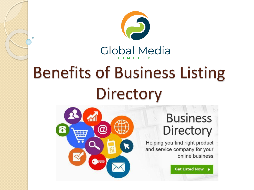

# Benefits of Business Listing **Directory**



 $\overline{O}$ 

#### **Business** Directory

Helping you find right product and service company for your online business

Get Listed Now >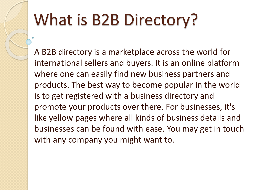# What is B2B Directory?

A B2B directory is a marketplace across the world for international sellers and buyers. It is an online platform where one can easily find new business partners and products. The best way to become popular in the world is to get registered with a business directory and promote your products over there. For businesses, it's like yellow pages where all kinds of business details and businesses can be found with ease. You may get in touch with any company you might want to.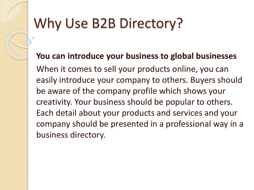### Why Use B2B Directory?

**You can introduce your business to global businesses** When it comes to sell your products online, you can easily introduce your company to others. Buyers should be aware of the company profile which shows your creativity. Your business should be popular to others. Each detail about your products and services and your company should be presented in a professional way in a business directory.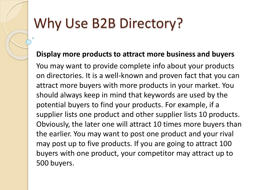### Why Use B2B Directory?

#### **Display more products to attract more business and buyers**

You may want to provide complete info about your products on directories. It is a well-known and proven fact that you can attract more buyers with more products in your market. You should always keep in mind that keywords are used by the potential buyers to find your products. For example, if a supplier lists one product and other supplier lists 10 products. Obviously, the later one will attract 10 times more buyers than the earlier. You may want to post one product and your rival may post up to five products. If you are going to attract 100 buyers with one product, your competitor may attract up to 500 buyers.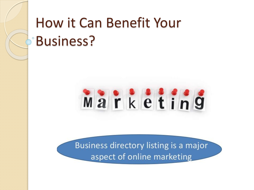

Business directory listing is a major aspect of online marketing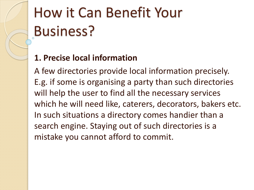#### **1. Precise local information**

A few directories provide local information precisely. E.g. if some is organising a party than such directories will help the user to find all the necessary services which he will need like, caterers, decorators, bakers etc. In such situations a directory comes handier than a search engine. Staying out of such directories is a mistake you cannot afford to commit.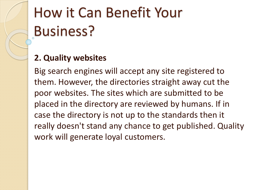#### **2. Quality websites**

Big search engines will accept any site registered to them. However, the directories straight away cut the poor websites. The sites which are submitted to be placed in the directory are reviewed by humans. If in case the directory is not up to the standards then it really doesn't stand any chance to get published. Quality work will generate loyal customers.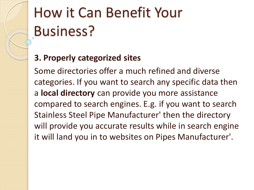#### **3. Properly categorized sites**

Some directories offer a much refined and diverse categories. If you want to search any specific data then a **local directory** can provide you more assistance compared to search engines. E.g. if you want to search Stainless Steel Pipe Manufacturer' then the directory will provide you accurate results while in search engine it will land you in to websites on Pipes Manufacturer'.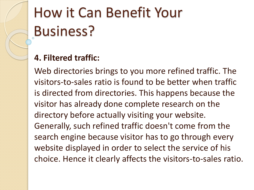#### **4. Filtered traffic:**

Web directories brings to you more refined traffic. The visitors-to-sales ratio is found to be better when traffic is directed from directories. This happens because the visitor has already done complete research on the directory before actually visiting your website. Generally, such refined traffic doesn't come from the search engine because visitor has to go through every website displayed in order to select the service of his choice. Hence it clearly affects the visitors-to-sales ratio.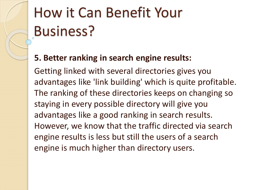#### **5. Better ranking in search engine results:**

Getting linked with several directories gives you advantages like 'link building' which is quite profitable. The ranking of these directories keeps on changing so staying in every possible directory will give you advantages like a good ranking in search results. However, we know that the traffic directed via search engine results is less but still the users of a search engine is much higher than directory users.